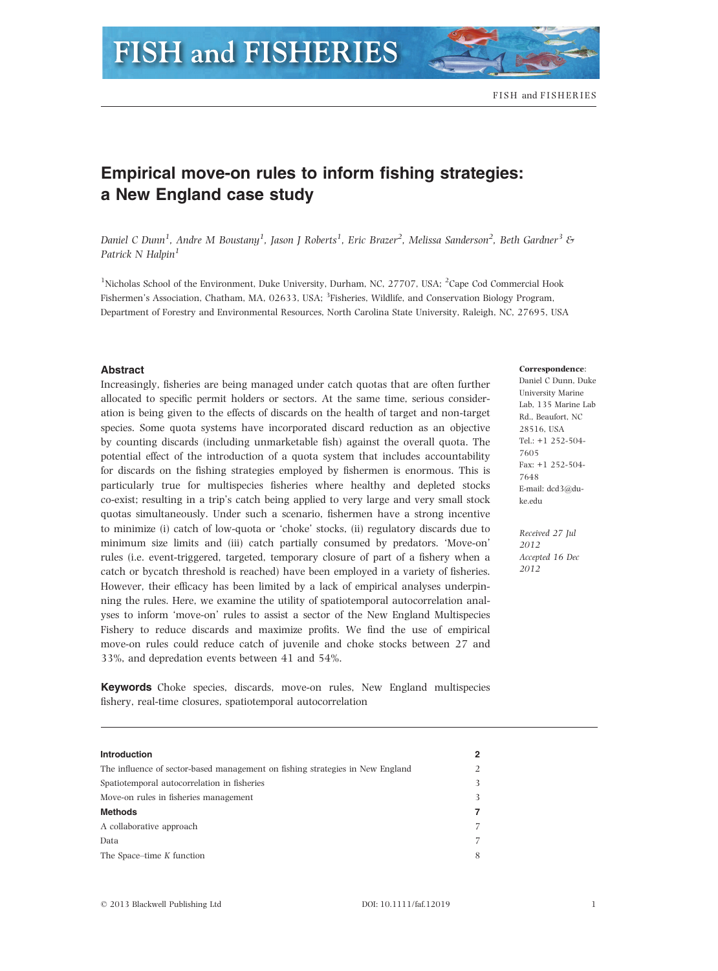# **FISH and FISHERIES**

## Empirical move-on rules to inform fishing strategies: a New England case study

Daniel C Dunn<sup>1</sup>, Andre M Boustany<sup>1</sup>, Jason J Roberts<sup>1</sup>, Eric Brazer<sup>2</sup>, Melissa Sanderson<sup>2</sup>, Beth Gardner<sup>3</sup> & Patrick N Halpin<sup>1</sup>

<sup>1</sup>Nicholas School of the Environment, Duke University, Durham, NC, 27707, USA; <sup>2</sup>Cape Cod Commercial Hook Fishermen's Association, Chatham, MA, 02633, USA; <sup>3</sup>Fisheries, Wildlife, and Conservation Biology Program, Department of Forestry and Environmental Resources, North Carolina State University, Raleigh, NC, 27695, USA

#### Abstract

Increasingly, fisheries are being managed under catch quotas that are often further allocated to specific permit holders or sectors. At the same time, serious consideration is being given to the effects of discards on the health of target and non-target species. Some quota systems have incorporated discard reduction as an objective by counting discards (including unmarketable fish) against the overall quota. The potential effect of the introduction of a quota system that includes accountability for discards on the fishing strategies employed by fishermen is enormous. This is particularly true for multispecies fisheries where healthy and depleted stocks co-exist; resulting in a trip's catch being applied to very large and very small stock quotas simultaneously. Under such a scenario, fishermen have a strong incentive to minimize (i) catch of low-quota or 'choke' stocks, (ii) regulatory discards due to minimum size limits and (iii) catch partially consumed by predators. 'Move-on' rules (i.e. event-triggered, targeted, temporary closure of part of a fishery when a catch or bycatch threshold is reached) have been employed in a variety of fisheries. However, their efficacy has been limited by a lack of empirical analyses underpinning the rules. Here, we examine the utility of spatiotemporal autocorrelation analyses to inform 'move-on' rules to assist a sector of the New England Multispecies Fishery to reduce discards and maximize profits. We find the use of empirical move-on rules could reduce catch of juvenile and choke stocks between 27 and 33%, and depredation events between 41 and 54%.

Keywords Choke species, discards, move-on rules, New England multispecies fishery, real-time closures, spatiotemporal autocorrelation

### Introduction 2 The influence of sector-based management on fishing strategies in New England 2 Spatiotemporal autocorrelation in fisheries 3 Move-on rules in fisheries management 3 Methods 7 A collaborative approach 7 Data 7 The Space–time K function 8

#### Correspondence:

Daniel C Dunn, Duke University Marine Lab, 135 Marine Lab Rd., Beaufort, NC 28516, USA Tel.: +1 252-504- 7605 Fax: +1 252-504- 7648 E-mail: dcd3@duke.edu

Received 27 Jul 2012 Accepted 16 Dec 2012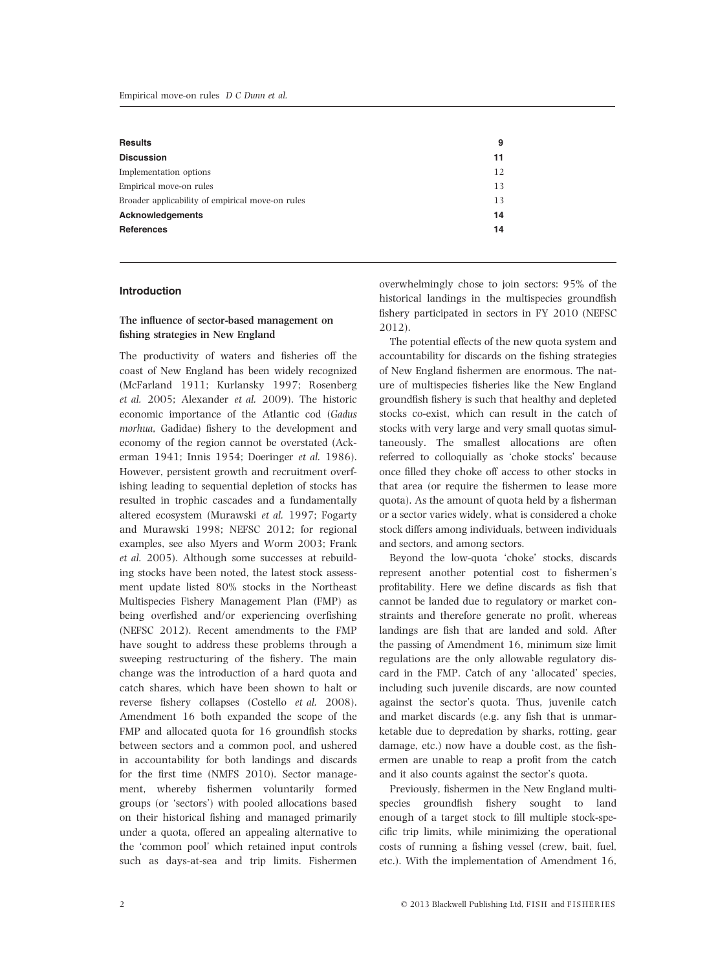| <b>Results</b>                                   | 9  |
|--------------------------------------------------|----|
| <b>Discussion</b>                                | 11 |
| Implementation options                           | 12 |
| Empirical move-on rules                          | 13 |
| Broader applicability of empirical move-on rules | 13 |
| <b>Acknowledgements</b>                          | 14 |
| <b>References</b>                                | 14 |

#### Introduction

#### The influence of sector-based management on fishing strategies in New England

The productivity of waters and fisheries off the coast of New England has been widely recognized (McFarland 1911; Kurlansky 1997; Rosenberg et al. 2005; Alexander et al. 2009). The historic economic importance of the Atlantic cod (Gadus morhua, Gadidae) fishery to the development and economy of the region cannot be overstated (Ackerman 1941; Innis 1954; Doeringer et al. 1986). However, persistent growth and recruitment overfishing leading to sequential depletion of stocks has resulted in trophic cascades and a fundamentally altered ecosystem (Murawski et al. 1997; Fogarty and Murawski 1998; NEFSC 2012; for regional examples, see also Myers and Worm 2003; Frank et al. 2005). Although some successes at rebuilding stocks have been noted, the latest stock assessment update listed 80% stocks in the Northeast Multispecies Fishery Management Plan (FMP) as being overfished and/or experiencing overfishing (NEFSC 2012). Recent amendments to the FMP have sought to address these problems through a sweeping restructuring of the fishery. The main change was the introduction of a hard quota and catch shares, which have been shown to halt or reverse fishery collapses (Costello et al. 2008). Amendment 16 both expanded the scope of the FMP and allocated quota for 16 groundfish stocks between sectors and a common pool, and ushered in accountability for both landings and discards for the first time (NMFS 2010). Sector management, whereby fishermen voluntarily formed groups (or 'sectors') with pooled allocations based on their historical fishing and managed primarily under a quota, offered an appealing alternative to the 'common pool' which retained input controls such as days-at-sea and trip limits. Fishermen

overwhelmingly chose to join sectors: 95% of the historical landings in the multispecies groundfish fishery participated in sectors in FY 2010 (NEFSC 2012).

The potential effects of the new quota system and accountability for discards on the fishing strategies of New England fishermen are enormous. The nature of multispecies fisheries like the New England groundfish fishery is such that healthy and depleted stocks co-exist, which can result in the catch of stocks with very large and very small quotas simultaneously. The smallest allocations are often referred to colloquially as 'choke stocks' because once filled they choke off access to other stocks in that area (or require the fishermen to lease more quota). As the amount of quota held by a fisherman or a sector varies widely, what is considered a choke stock differs among individuals, between individuals and sectors, and among sectors.

Beyond the low-quota 'choke' stocks, discards represent another potential cost to fishermen's profitability. Here we define discards as fish that cannot be landed due to regulatory or market constraints and therefore generate no profit, whereas landings are fish that are landed and sold. After the passing of Amendment 16, minimum size limit regulations are the only allowable regulatory discard in the FMP. Catch of any 'allocated' species, including such juvenile discards, are now counted against the sector's quota. Thus, juvenile catch and market discards (e.g. any fish that is unmarketable due to depredation by sharks, rotting, gear damage, etc.) now have a double cost, as the fishermen are unable to reap a profit from the catch and it also counts against the sector's quota.

Previously, fishermen in the New England multispecies groundfish fishery sought to land enough of a target stock to fill multiple stock-specific trip limits, while minimizing the operational costs of running a fishing vessel (crew, bait, fuel, etc.). With the implementation of Amendment 16,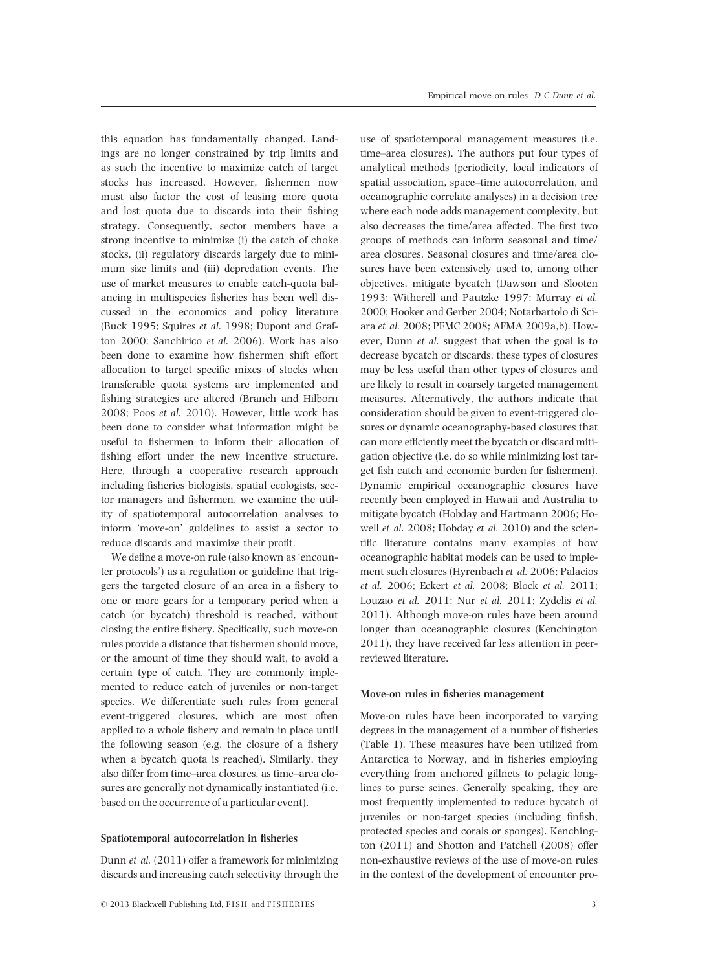this equation has fundamentally changed. Landings are no longer constrained by trip limits and as such the incentive to maximize catch of target stocks has increased. However, fishermen now must also factor the cost of leasing more quota and lost quota due to discards into their fishing strategy. Consequently, sector members have a strong incentive to minimize (i) the catch of choke stocks, (ii) regulatory discards largely due to minimum size limits and (iii) depredation events. The use of market measures to enable catch-quota balancing in multispecies fisheries has been well discussed in the economics and policy literature (Buck 1995; Squires et al. 1998; Dupont and Grafton 2000; Sanchirico et al. 2006). Work has also been done to examine how fishermen shift effort allocation to target specific mixes of stocks when transferable quota systems are implemented and fishing strategies are altered (Branch and Hilborn 2008; Poos et al. 2010). However, little work has been done to consider what information might be useful to fishermen to inform their allocation of fishing effort under the new incentive structure. Here, through a cooperative research approach including fisheries biologists, spatial ecologists, sector managers and fishermen, we examine the utility of spatiotemporal autocorrelation analyses to inform 'move-on' guidelines to assist a sector to reduce discards and maximize their profit.

We define a move-on rule (also known as 'encounter protocols') as a regulation or guideline that triggers the targeted closure of an area in a fishery to one or more gears for a temporary period when a catch (or bycatch) threshold is reached, without closing the entire fishery. Specifically, such move-on rules provide a distance that fishermen should move, or the amount of time they should wait, to avoid a certain type of catch. They are commonly implemented to reduce catch of juveniles or non-target species. We differentiate such rules from general event-triggered closures, which are most often applied to a whole fishery and remain in place until the following season (e.g. the closure of a fishery when a bycatch quota is reached). Similarly, they also differ from time–area closures, as time–area closures are generally not dynamically instantiated (i.e. based on the occurrence of a particular event).

#### Spatiotemporal autocorrelation in fisheries

Dunn et al. (2011) offer a framework for minimizing discards and increasing catch selectivity through the use of spatiotemporal management measures (i.e. time–area closures). The authors put four types of analytical methods (periodicity, local indicators of spatial association, space–time autocorrelation, and oceanographic correlate analyses) in a decision tree where each node adds management complexity, but also decreases the time/area affected. The first two groups of methods can inform seasonal and time/ area closures. Seasonal closures and time/area closures have been extensively used to, among other objectives, mitigate bycatch (Dawson and Slooten 1993; Witherell and Pautzke 1997; Murray et al. 2000; Hooker and Gerber 2004; Notarbartolo di Sciara et al. 2008; PFMC 2008; AFMA 2009a,b). However, Dunn et al. suggest that when the goal is to decrease bycatch or discards, these types of closures may be less useful than other types of closures and are likely to result in coarsely targeted management measures. Alternatively, the authors indicate that consideration should be given to event-triggered closures or dynamic oceanography-based closures that can more efficiently meet the bycatch or discard mitigation objective (i.e. do so while minimizing lost target fish catch and economic burden for fishermen). Dynamic empirical oceanographic closures have recently been employed in Hawaii and Australia to mitigate bycatch (Hobday and Hartmann 2006; Howell et al. 2008; Hobday et al. 2010) and the scientific literature contains many examples of how oceanographic habitat models can be used to implement such closures (Hyrenbach et al. 2006; Palacios et al. 2006; Eckert et al. 2008; Block et al. 2011; Louzao et al. 2011; Nur et al. 2011; Zydelis et al. 2011). Although move-on rules have been around longer than oceanographic closures (Kenchington 2011), they have received far less attention in peerreviewed literature.

#### Move-on rules in fisheries management

Move-on rules have been incorporated to varying degrees in the management of a number of fisheries (Table 1). These measures have been utilized from Antarctica to Norway, and in fisheries employing everything from anchored gillnets to pelagic longlines to purse seines. Generally speaking, they are most frequently implemented to reduce bycatch of juveniles or non-target species (including finfish, protected species and corals or sponges). Kenchington (2011) and Shotton and Patchell (2008) offer non-exhaustive reviews of the use of move-on rules in the context of the development of encounter pro-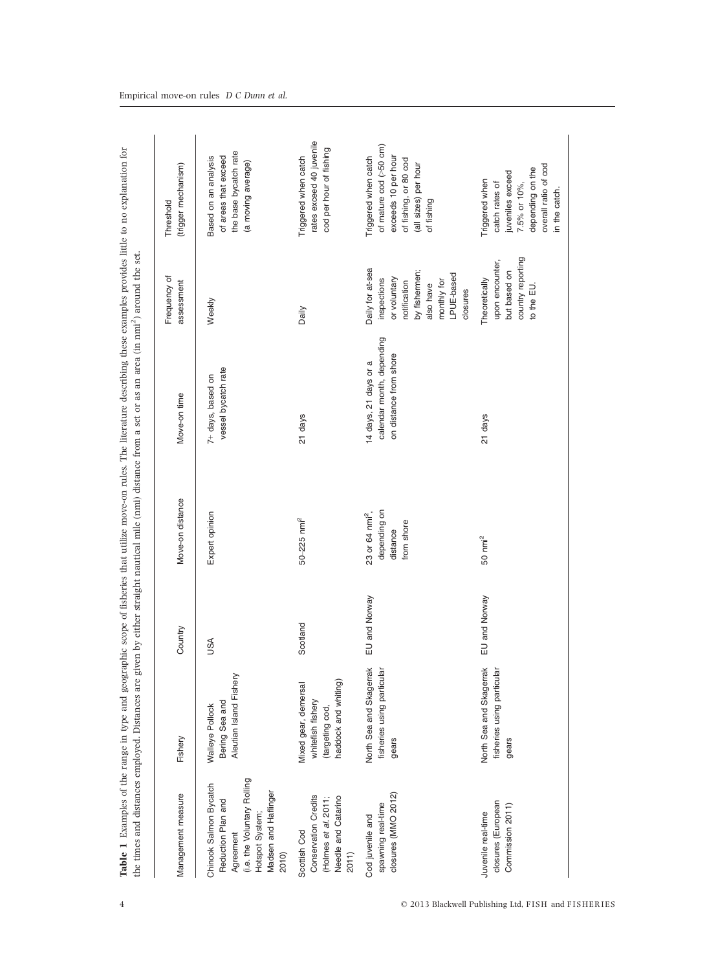| Management measure                                                                                                                           | Fishery                                                                               | Country       | Move-on distance                                                      | Move-on time                                                                 | Frequency of<br>assessment                                                                                                             | (trigger mechanism)<br>Threshold                                                                                                     |
|----------------------------------------------------------------------------------------------------------------------------------------------|---------------------------------------------------------------------------------------|---------------|-----------------------------------------------------------------------|------------------------------------------------------------------------------|----------------------------------------------------------------------------------------------------------------------------------------|--------------------------------------------------------------------------------------------------------------------------------------|
| (i.e. the Voluntary Rolling<br>Chinook Salmon Bycatch<br>Madsen and Haflinger<br>Reduction Plan and<br>Hotspot System;<br>Agreement<br>2010) | Aleutian Island Fishery<br>Bering Sea and<br>Walleye Pollock                          | SSQ           | Expert opinion                                                        | vessel bycatch rate<br>7+ days, based on                                     | Weekly                                                                                                                                 | the base bycatch rate<br>of areas that exceed<br>Based on an analysis<br>(a moving average)                                          |
| <b>Conservation Credits</b><br>Needle and Catarino<br>(Holmes et al. 2011;<br>Scottish Cod<br>2011)                                          | haddock and whiting)<br>Viixed gear, demersal<br>whitefish fishery<br>(targeting cod, | Scotland      | $50 - 225$ nmi <sup>2</sup>                                           | 21 days                                                                      | Daily                                                                                                                                  | rates exceed 40 juvenile<br>cod per hour of fishing<br>Triggered when catch                                                          |
| closures (MMO 2012)<br>spawning real-time<br>Cod juvenile and                                                                                | North Sea and Skagerrak<br>fisheries using particular<br>gears                        | EU and Norway | depending on<br>23 or 64 nmi <sup>2</sup> ,<br>from shore<br>distance | calendar month, depending<br>on distance from shore<br>14 days, 21 days or a | Daily for at-sea<br>by fishermen;<br>LPUE-based<br>or voluntary<br>inspections<br>monthly for<br>notification<br>also have<br>closures | of mature cod (>50 cm)<br>Triggered when catch<br>exceeds 10 per hour<br>of fishing, or 80 cod<br>(all sizes) per hour<br>of fishing |
| closures (European<br>Commission 2011)<br>Juvenile real-time                                                                                 | North Sea and Skagerrak<br>fisheries using particular<br>gears                        | EU and Norway | $50 \text{ nm}^2$                                                     | 21 days                                                                      | country reporting<br>upon encounter,<br>but based on<br>Theoretically<br>to the EU                                                     | overall ratio of cod<br>depending on the<br>juveniles exceed<br>Triggered when<br>catch rates of<br>7.5% or 10%,<br>in the catch.    |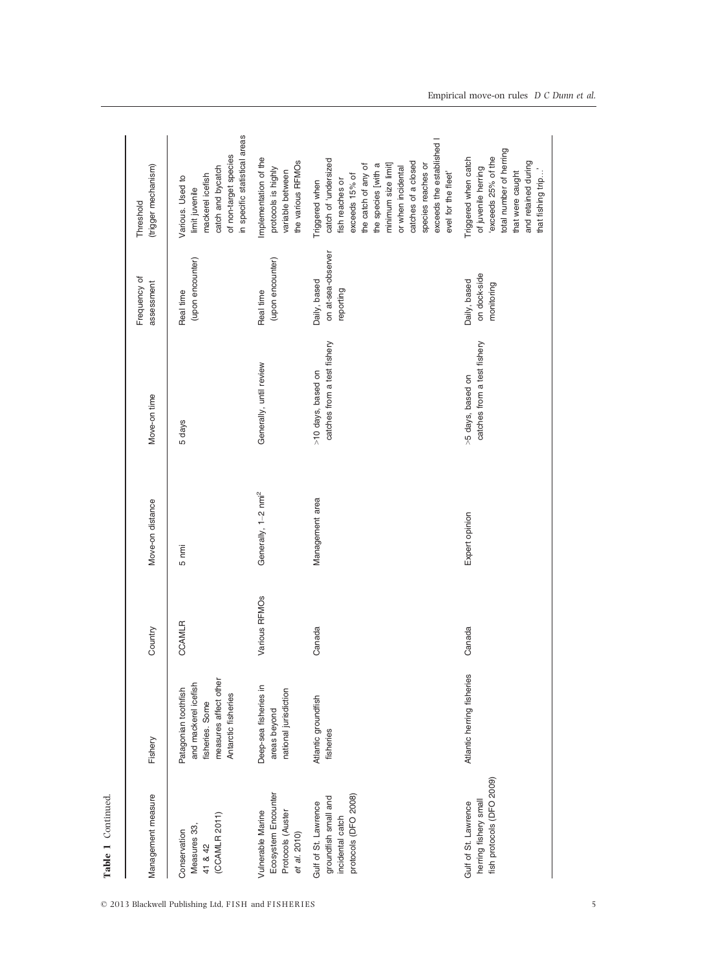| Table 1 Continued.                                                                       |                                                                                                                 |               |                                 |                                                   |                                                 |                                                                                                                                                                                                                                                                         |
|------------------------------------------------------------------------------------------|-----------------------------------------------------------------------------------------------------------------|---------------|---------------------------------|---------------------------------------------------|-------------------------------------------------|-------------------------------------------------------------------------------------------------------------------------------------------------------------------------------------------------------------------------------------------------------------------------|
| Management measure                                                                       | Fishery                                                                                                         | Country       | Move-on distance                | Move-on time                                      | Frequency of<br>assessment                      | (trigger mechanism)<br>Threshold                                                                                                                                                                                                                                        |
| (CCAMLR 2011)<br>Measures 33,<br>Conservation<br>41 & 42                                 | measures affect other<br>and mackerel icefish<br>Patagonian toothfish<br>Antarctic fisheries<br>fisheries. Some | <b>CCAMLR</b> | 5 nmi                           | 5 days                                            | (upon encounter)<br>Real time                   | in specific statistical areas<br>of non-target species<br>catch and bycatch<br>mackerel icefish<br>Various. Used to<br>limit juvenile                                                                                                                                   |
| Ecosystem Encounter<br>Vulnerable Marine<br>Protocols (Auster<br>et al. 2010)            | Deep-sea fisheries in<br>national jurisdiction<br>areas beyond                                                  | Various RFMOs | Generally, 1-2 nmi <sup>2</sup> | Generally, until review                           | (upon encounter)<br>Real time                   | Implementation of the<br>the various RFMOs<br>protocols is highly<br>variable between                                                                                                                                                                                   |
| protocols (DFO 2008)<br>groundfish small and<br>Gulf of St. Lawrence<br>incidental catch | Atlantic groundfish<br>fisheries                                                                                | Canada        | Management area                 | catches from a test fishery<br>>10 days, based on | on at-sea-observer<br>Daily, based<br>reporting | exceeds the established I<br>catch of 'undersized<br>catches of a closed<br>species reaches or<br>the catch of any of<br>the species [with a<br>minimum size limit]<br>or when incidental<br>evel for the fleet'<br>exceeds 15% of<br>fish reaches or<br>Triggered when |
| fish protocols (DFO 2009)<br>herring fishery small<br>Gulf of St. Lawrence               | Atlantic herring fisheries                                                                                      | Canada        | Expert opinion                  | catches from a test fishery<br>>5 days, based on  | on dock-side<br>Daily, based<br>monitoring      | total number of herring<br>exceeds 25% of the<br>Triggered when catch<br>and retained during<br>of juvenile herring<br>that were caught<br>that fishing trip                                                                                                            |

 $\odot$  2013 Blackwell Publishing Ltd, FISH and FISHERIES 5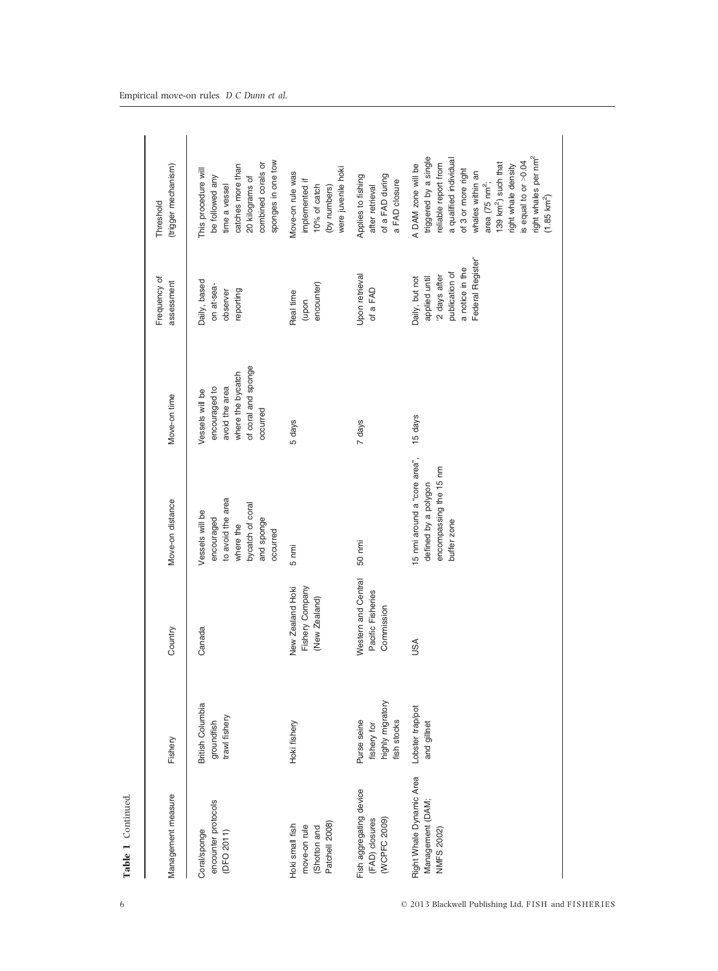| Management measure                                                | Fishery                                                       | Country                                                | Move-on distance                                                                                              | Move-on time                                                                                               | Frequency of<br>assessment                                                                               | (trigger mechanism)<br>Threshold                                                                                                                                                                                                                                                                                     |
|-------------------------------------------------------------------|---------------------------------------------------------------|--------------------------------------------------------|---------------------------------------------------------------------------------------------------------------|------------------------------------------------------------------------------------------------------------|----------------------------------------------------------------------------------------------------------|----------------------------------------------------------------------------------------------------------------------------------------------------------------------------------------------------------------------------------------------------------------------------------------------------------------------|
| encounter protocols<br>Coral/sponge<br>(DFO 2011)                 | British Columbia<br>trawl fishery<br>groundfish               | Canada                                                 | to avoid the area<br>bycatch of coral<br>Vessels will be<br>encouraged<br>and sponge<br>where the<br>occurred | of coral and sponge<br>where the bycatch<br>encouraged to<br>avoid the area<br>Vessels will be<br>occurred | Daily, based<br>on at-sea-<br>observer<br>reporting                                                      | sponges in one tow<br>combined corals or<br>catches more than<br>This procedure will<br>be followed any<br>20 kilograms of<br>time a vessel                                                                                                                                                                          |
| Patchell 2008)<br>Hoki small fish<br>move-on rule<br>(Shotton and | Hoki fishery                                                  | Fishery Company<br>New Zealand Hoki<br>(New Zealand)   | 5 nmi                                                                                                         | 5 days                                                                                                     | encounter)<br>Real time<br>(upon                                                                         | were juvenile hoki<br>Move-on rule was<br>implemented if<br>(by numbers)<br>10% of catch                                                                                                                                                                                                                             |
| Fish aggregating device<br>(FAD) closures<br>(WCPFC 2009)         | highly migratory<br>Purse seine<br>fish stocks<br>fishery for | Western and Central<br>Pacific Fisheries<br>Commission | 50 nmi                                                                                                        | 7 days                                                                                                     | Upon retrieval<br>of a FAD                                                                               | of a FAD during<br>Applies to fishing<br>a FAD closure<br>after retrieval                                                                                                                                                                                                                                            |
| Right Whale Dynamic Area<br>Management (DAM;<br>NMFS 2002)        | Lobster trap/pot<br>and gillnet                               | <b>ASU</b>                                             | 15 nmi around a "core area",<br>encompassing the 15 nm<br>defined by a polygon<br>buffer zone                 | 15 days                                                                                                    | Federal Register<br>a notice in the<br>publication of<br>2 days after<br>applied until<br>Daily, but not | right whales per nm <sup>2</sup><br>triggered by a single<br>a qualified individual<br>is equal to or >0.04<br>reliable report from<br>139 km <sup>2</sup> ) such that<br>A DAM zone will be<br>right whale density<br>of 3 or more right<br>whales within an<br>area (75 nm <sup>2</sup> ;<br>$(1.85 \text{ km}^2)$ |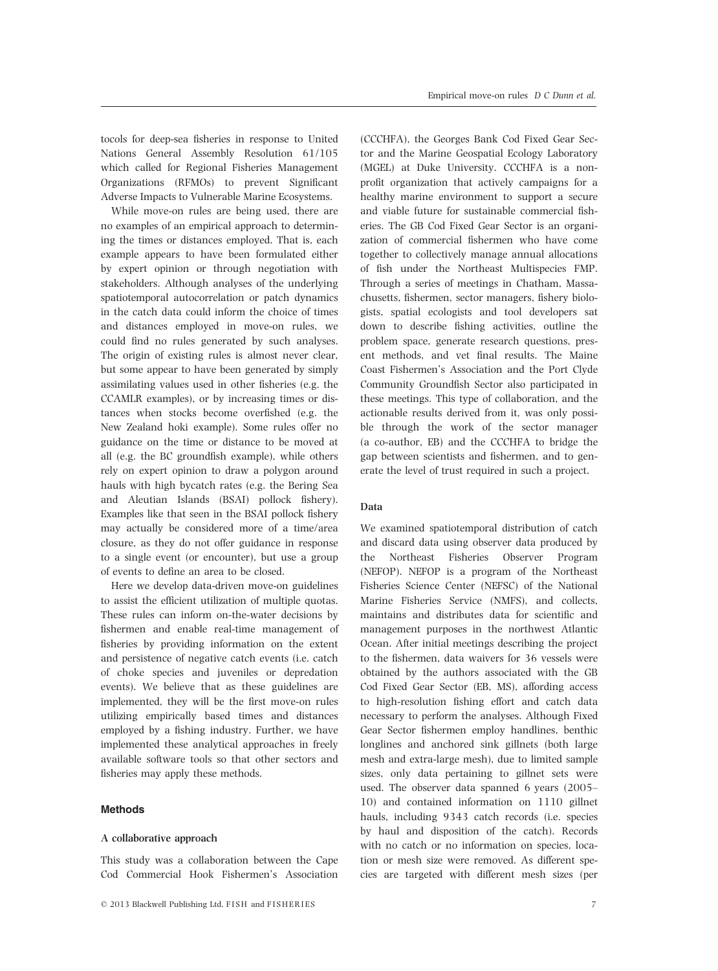tocols for deep-sea fisheries in response to United Nations General Assembly Resolution 61/105 which called for Regional Fisheries Management Organizations (RFMOs) to prevent Significant Adverse Impacts to Vulnerable Marine Ecosystems.

While move-on rules are being used, there are no examples of an empirical approach to determining the times or distances employed. That is, each example appears to have been formulated either by expert opinion or through negotiation with stakeholders. Although analyses of the underlying spatiotemporal autocorrelation or patch dynamics in the catch data could inform the choice of times and distances employed in move-on rules, we could find no rules generated by such analyses. The origin of existing rules is almost never clear, but some appear to have been generated by simply assimilating values used in other fisheries (e.g. the CCAMLR examples), or by increasing times or distances when stocks become overfished (e.g. the New Zealand hoki example). Some rules offer no guidance on the time or distance to be moved at all (e.g. the BC groundfish example), while others rely on expert opinion to draw a polygon around hauls with high bycatch rates (e.g. the Bering Sea and Aleutian Islands (BSAI) pollock fishery). Examples like that seen in the BSAI pollock fishery may actually be considered more of a time/area closure, as they do not offer guidance in response to a single event (or encounter), but use a group of events to define an area to be closed.

Here we develop data-driven move-on guidelines to assist the efficient utilization of multiple quotas. These rules can inform on-the-water decisions by fishermen and enable real-time management of fisheries by providing information on the extent and persistence of negative catch events (i.e. catch of choke species and juveniles or depredation events). We believe that as these guidelines are implemented, they will be the first move-on rules utilizing empirically based times and distances employed by a fishing industry. Further, we have implemented these analytical approaches in freely available software tools so that other sectors and fisheries may apply these methods.

#### Methods

#### A collaborative approach

This study was a collaboration between the Cape Cod Commercial Hook Fishermen's Association (CCCHFA), the Georges Bank Cod Fixed Gear Sector and the Marine Geospatial Ecology Laboratory (MGEL) at Duke University. CCCHFA is a nonprofit organization that actively campaigns for a healthy marine environment to support a secure and viable future for sustainable commercial fisheries. The GB Cod Fixed Gear Sector is an organization of commercial fishermen who have come together to collectively manage annual allocations of fish under the Northeast Multispecies FMP. Through a series of meetings in Chatham, Massachusetts, fishermen, sector managers, fishery biologists, spatial ecologists and tool developers sat down to describe fishing activities, outline the problem space, generate research questions, present methods, and vet final results. The Maine Coast Fishermen's Association and the Port Clyde Community Groundfish Sector also participated in these meetings. This type of collaboration, and the actionable results derived from it, was only possible through the work of the sector manager (a co-author, EB) and the CCCHFA to bridge the gap between scientists and fishermen, and to generate the level of trust required in such a project.

#### Data

We examined spatiotemporal distribution of catch and discard data using observer data produced by the Northeast Fisheries Observer Program (NEFOP). NEFOP is a program of the Northeast Fisheries Science Center (NEFSC) of the National Marine Fisheries Service (NMFS), and collects, maintains and distributes data for scientific and management purposes in the northwest Atlantic Ocean. After initial meetings describing the project to the fishermen, data waivers for 36 vessels were obtained by the authors associated with the GB Cod Fixed Gear Sector (EB, MS), affording access to high-resolution fishing effort and catch data necessary to perform the analyses. Although Fixed Gear Sector fishermen employ handlines, benthic longlines and anchored sink gillnets (both large mesh and extra-large mesh), due to limited sample sizes, only data pertaining to gillnet sets were used. The observer data spanned 6 years (2005– 10) and contained information on 1110 gillnet hauls, including 9343 catch records (i.e. species by haul and disposition of the catch). Records with no catch or no information on species, location or mesh size were removed. As different species are targeted with different mesh sizes (per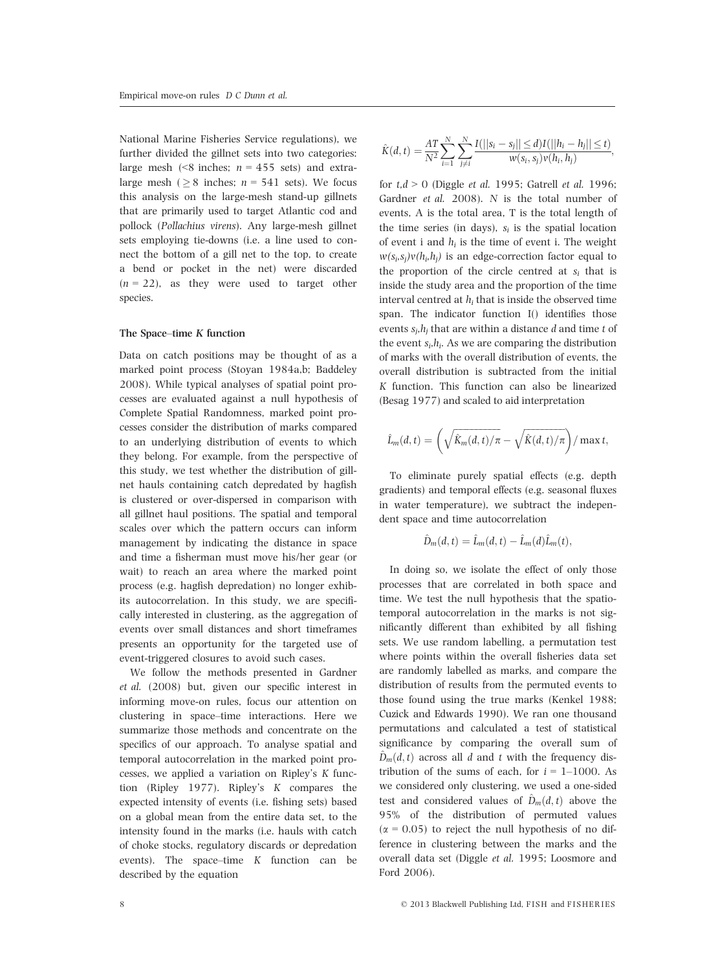National Marine Fisheries Service regulations), we further divided the gillnet sets into two categories: large mesh (<8 inches;  $n = 455$  sets) and extralarge mesh ( $\geq 8$  inches;  $n = 541$  sets). We focus this analysis on the large-mesh stand-up gillnets that are primarily used to target Atlantic cod and pollock (Pollachius virens). Any large-mesh gillnet sets employing tie-downs (i.e. a line used to connect the bottom of a gill net to the top, to create a bend or pocket in the net) were discarded  $(n = 22)$ , as they were used to target other species.

#### The Space–time K function

Data on catch positions may be thought of as a marked point process (Stoyan 1984a,b; Baddeley 2008). While typical analyses of spatial point processes are evaluated against a null hypothesis of Complete Spatial Randomness, marked point processes consider the distribution of marks compared to an underlying distribution of events to which they belong. For example, from the perspective of this study, we test whether the distribution of gillnet hauls containing catch depredated by hagfish is clustered or over-dispersed in comparison with all gillnet haul positions. The spatial and temporal scales over which the pattern occurs can inform management by indicating the distance in space and time a fisherman must move his/her gear (or wait) to reach an area where the marked point process (e.g. hagfish depredation) no longer exhibits autocorrelation. In this study, we are specifically interested in clustering, as the aggregation of events over small distances and short timeframes presents an opportunity for the targeted use of event-triggered closures to avoid such cases.

We follow the methods presented in Gardner et al. (2008) but, given our specific interest in informing move-on rules, focus our attention on clustering in space–time interactions. Here we summarize those methods and concentrate on the specifics of our approach. To analyse spatial and temporal autocorrelation in the marked point processes, we applied a variation on Ripley's K function (Ripley 1977). Ripley's K compares the expected intensity of events (i.e. fishing sets) based on a global mean from the entire data set, to the intensity found in the marks (i.e. hauls with catch of choke stocks, regulatory discards or depredation events). The space–time K function can be described by the equation

$$
\hat{K}(d,t) = \frac{AT}{N^2} \sum_{i=1}^{N} \sum_{j \neq i}^{N} \frac{I(||s_i - s_j|| \le d)I(||h_i - h_j|| \le t)}{w(s_i, s_j)v(h_i, h_j)},
$$

for  $t, d > 0$  (Diggle *et al.* 1995; Gatrell *et al.* 1996; Gardner et al. 2008). N is the total number of events, A is the total area, T is the total length of the time series (in days),  $s_i$  is the spatial location of event i and  $h_i$  is the time of event i. The weight  $w(s_i,s_i)v(h_i,h_i)$  is an edge-correction factor equal to the proportion of the circle centred at  $s_i$  that is inside the study area and the proportion of the time interval centred at  $h_i$  that is inside the observed time span. The indicator function I() identifies those events  $s_i, h_i$  that are within a distance d and time t of the event  $s_i, h_i$ . As we are comparing the distribution of marks with the overall distribution of events, the overall distribution is subtracted from the initial K function. This function can also be linearized (Besag 1977) and scaled to aid interpretation

$$
\hat{L}_m(d,t) = \left(\sqrt{\hat{K}_m(d,t)/\pi} - \sqrt{\hat{K}(d,t)/\pi}\right) / \max t,
$$

To eliminate purely spatial effects (e.g. depth gradients) and temporal effects (e.g. seasonal fluxes in water temperature), we subtract the independent space and time autocorrelation

$$
\hat{D}_m(d,t) = \hat{L}_m(d,t) - \hat{L}_m(d)\hat{L}_m(t),
$$

In doing so, we isolate the effect of only those processes that are correlated in both space and time. We test the null hypothesis that the spatiotemporal autocorrelation in the marks is not significantly different than exhibited by all fishing sets. We use random labelling, a permutation test where points within the overall fisheries data set are randomly labelled as marks, and compare the distribution of results from the permuted events to those found using the true marks (Kenkel 1988; Cuzick and Edwards 1990). We ran one thousand permutations and calculated a test of statistical significance by comparing the overall sum of  $\hat{D}_m(d,t)$  across all d and t with the frequency distribution of the sums of each, for  $i = 1-1000$ . As we considered only clustering, we used a one-sided test and considered values of  $\hat{D}_m(d, t)$  above the 95% of the distribution of permuted values  $(x = 0.05)$  to reject the null hypothesis of no difference in clustering between the marks and the overall data set (Diggle et al. 1995; Loosmore and Ford 2006).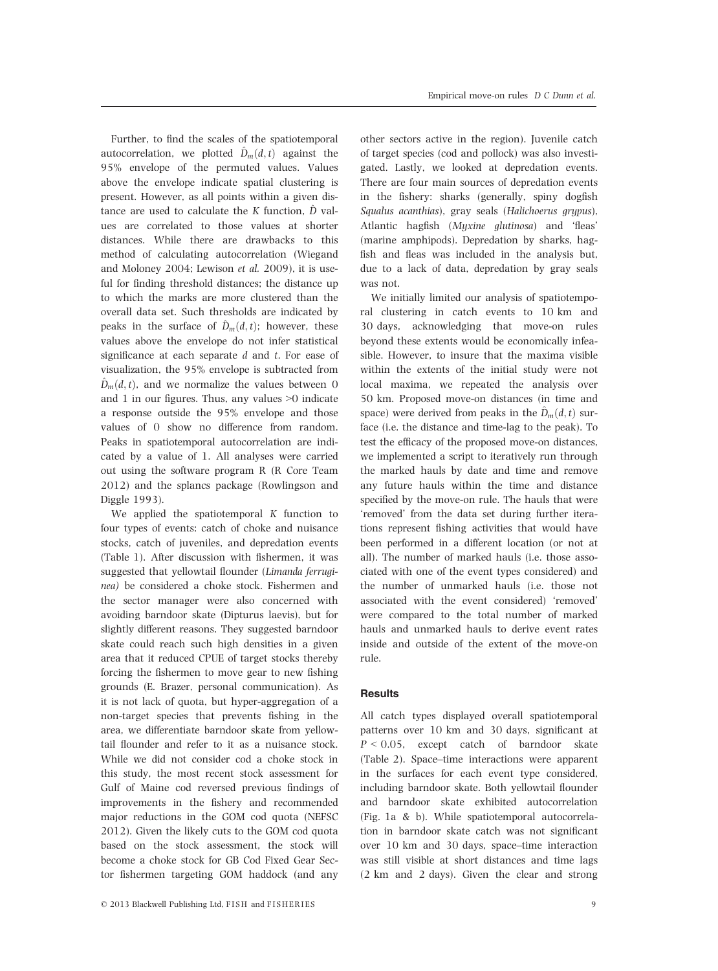Further, to find the scales of the spatiotemporal autocorrelation, we plotted  $\hat{D}_m(d, t)$  against the 95% envelope of the permuted values. Values above the envelope indicate spatial clustering is present. However, as all points within a given distance are used to calculate the K function,  $\hat{D}$  values are correlated to those values at shorter distances. While there are drawbacks to this method of calculating autocorrelation (Wiegand and Moloney 2004; Lewison et al. 2009), it is useful for finding threshold distances; the distance up to which the marks are more clustered than the overall data set. Such thresholds are indicated by peaks in the surface of  $\hat{D}_m(d,t)$ ; however, these values above the envelope do not infer statistical significance at each separate  $d$  and  $t$ . For ease of visualization, the 95% envelope is subtracted from  $\hat{D}_m(d,t)$ , and we normalize the values between 0 and 1 in our figures. Thus, any values >0 indicate a response outside the 95% envelope and those values of 0 show no difference from random. Peaks in spatiotemporal autocorrelation are indicated by a value of 1. All analyses were carried out using the software program R (R Core Team 2012) and the splancs package (Rowlingson and Diggle 1993).

We applied the spatiotemporal K function to four types of events: catch of choke and nuisance stocks, catch of juveniles, and depredation events (Table 1). After discussion with fishermen, it was suggested that yellowtail flounder (Limanda ferruginea) be considered a choke stock. Fishermen and the sector manager were also concerned with avoiding barndoor skate (Dipturus laevis), but for slightly different reasons. They suggested barndoor skate could reach such high densities in a given area that it reduced CPUE of target stocks thereby forcing the fishermen to move gear to new fishing grounds (E. Brazer, personal communication). As it is not lack of quota, but hyper-aggregation of a non-target species that prevents fishing in the area, we differentiate barndoor skate from yellowtail flounder and refer to it as a nuisance stock. While we did not consider cod a choke stock in this study, the most recent stock assessment for Gulf of Maine cod reversed previous findings of improvements in the fishery and recommended major reductions in the GOM cod quota (NEFSC 2012). Given the likely cuts to the GOM cod quota based on the stock assessment, the stock will become a choke stock for GB Cod Fixed Gear Sector fishermen targeting GOM haddock (and any

other sectors active in the region). Juvenile catch of target species (cod and pollock) was also investigated. Lastly, we looked at depredation events. There are four main sources of depredation events in the fishery: sharks (generally, spiny dogfish Squalus acanthias), gray seals (Halichoerus grypus), Atlantic hagfish (Myxine glutinosa) and 'fleas' (marine amphipods). Depredation by sharks, hagfish and fleas was included in the analysis but, due to a lack of data, depredation by gray seals was not.

We initially limited our analysis of spatiotemporal clustering in catch events to 10 km and 30 days, acknowledging that move-on rules beyond these extents would be economically infeasible. However, to insure that the maxima visible within the extents of the initial study were not local maxima, we repeated the analysis over 50 km. Proposed move-on distances (in time and space) were derived from peaks in the  $\hat{D}_m(d, t)$  surface (i.e. the distance and time-lag to the peak). To test the efficacy of the proposed move-on distances, we implemented a script to iteratively run through the marked hauls by date and time and remove any future hauls within the time and distance specified by the move-on rule. The hauls that were 'removed' from the data set during further iterations represent fishing activities that would have been performed in a different location (or not at all). The number of marked hauls (i.e. those associated with one of the event types considered) and the number of unmarked hauls (i.e. those not associated with the event considered) 'removed' were compared to the total number of marked hauls and unmarked hauls to derive event rates inside and outside of the extent of the move-on rule.

#### **Results**

All catch types displayed overall spatiotemporal patterns over 10 km and 30 days, significant at  $P < 0.05$ , except catch of barndoor skate (Table 2). Space–time interactions were apparent in the surfaces for each event type considered, including barndoor skate. Both yellowtail flounder and barndoor skate exhibited autocorrelation (Fig. 1a & b). While spatiotemporal autocorrelation in barndoor skate catch was not significant over 10 km and 30 days, space–time interaction was still visible at short distances and time lags (2 km and 2 days). Given the clear and strong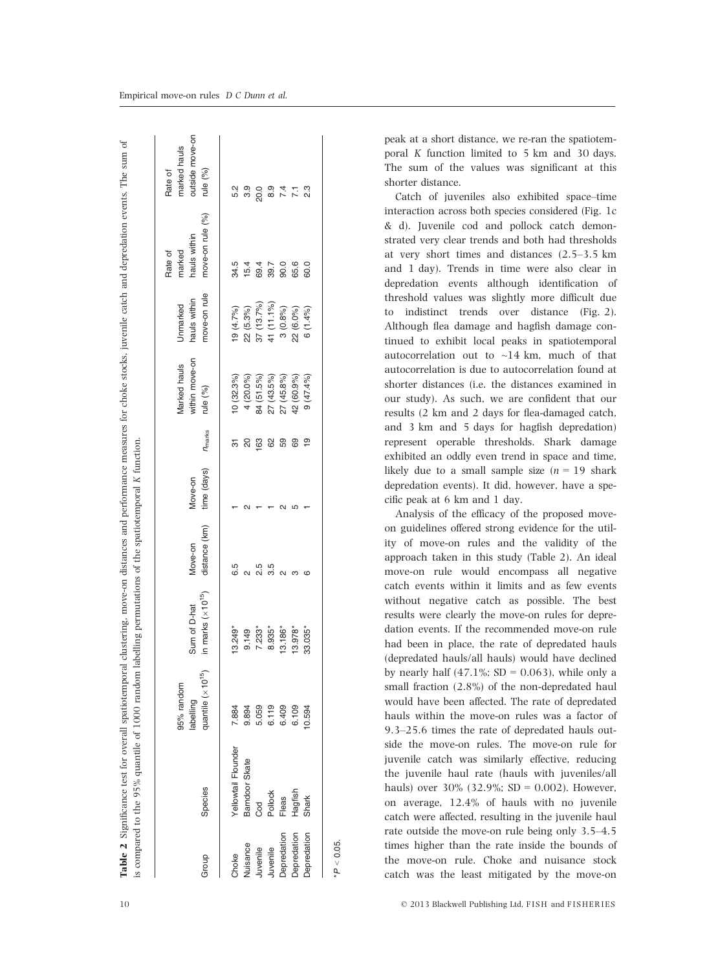| Group       | Species             | quantile $(\times 10^{15})$<br>95% random<br>labelling | in marks $(\times 10^{15})$<br>Sum of D-hat | distance (km)<br>Move-on | time (days)<br>Move-on | <b>n</b> <sub>marks</sub> | within move-on<br>Marked hauls<br>rule (%) | move-on rule<br>hauls within<br>Unmarked | move-on rule (%)<br>hauls within<br>marked<br>Rate of | outside move-on<br>marked hauls<br>rule (%)<br>Rate of |
|-------------|---------------------|--------------------------------------------------------|---------------------------------------------|--------------------------|------------------------|---------------------------|--------------------------------------------|------------------------------------------|-------------------------------------------------------|--------------------------------------------------------|
| Choke       | Yellowtail Flounder | 7.884                                                  | $13.249*$                                   |                          |                        |                           | 10(32.3%)                                  | 19 (4.7%)                                | 34.5                                                  | 5.2                                                    |
| duisance    | Barndoor Skate      | 9.894                                                  | 9.149                                       |                          |                        | 20                        | 4 (20.0%)                                  | 22 (5.3%)                                | 15.4                                                  | თ<br>თ                                                 |
| Juvenile    | Cod                 | 5.059                                                  | 7.233*                                      | 2.5                      |                        | 163                       | 84 (51.5%)                                 | $37(13.7\%)$                             | 69.4                                                  | 20.0                                                   |
| Juvenile    | Pollock             | 6.119                                                  | $8.935*$                                    | 3.5                      |                        | 62                        | 27 (43.5%)                                 | 41 (11.1%)                               | 39.7                                                  | $\frac{0}{8}$                                          |
| Depredation | Fleas               | 6.409                                                  | $13.186*$                                   |                          |                        | 59                        | 27 (45.8%)                                 | 3(0.8%)                                  | 90.0                                                  | 7.4                                                    |
| Depredation | Hagfish             | 6.109                                                  | $13.978*$                                   |                          |                        | 69                        | 42 (60.9%)                                 | 22 (6.0%)                                | 65.6                                                  | $\overline{71}$                                        |
| Depredation | Shark               | 10.594                                                 | 33.035*                                     | ca                       |                        | $\frac{1}{2}$             | $(9(47.4\%)$                               | 6(1.4%                                   | 60.0                                                  | 2.3                                                    |

peak at a short distance, we re-ran the spatiotemporal K function limited to 5 km and 30 days. The sum of the values was significant at this shorter distance.

Catch of juveniles also exhibited space–time interaction across both species considered (Fig. 1c & d). Juvenile cod and pollock catch demonstrated very clear trends and both had thresholds at very short times and distances (2.5–3.5 km and 1 day). Trends in time were also clear in depredation events although identification of threshold values was slightly more difficult due to indistinct trends over distance (Fig. 2). Although flea damage and hagfish damage continued to exhibit local peaks in spatiotemporal autocorrelation out to  $\sim$ 14 km, much of that autocorrelation is due to autocorrelation found at shorter distances (i.e. the distances examined in our study). As such, we are confident that our results (2 km and 2 days for flea-damaged catch, and 3 km and 5 days for hagfish depredation) represent operable thresholds. Shark damage exhibited an oddly even trend in space and time, likely due to a small sample size  $(n = 19)$  shark depredation events). It did, however, have a specific peak at 6 km and 1 day.

Analysis of the efficacy of the proposed moveon guidelines offered strong evidence for the utility of move-on rules and the validity of the approach taken in this study (Table 2). An ideal move-on rule would encompass all negative catch events within it limits and as few events without negative catch as possible. The best results were clearly the move-on rules for depredation events. If the recommended move-on rule had been in place, the rate of depredated hauls (depredated hauls/all hauls) would have declined by nearly half  $(47.1\%; SD = 0.063)$ , while only a small fraction (2.8%) of the non-depredated haul would have been affected. The rate of depredated hauls within the move-on rules was a factor of 9.3–25.6 times the rate of depredated hauls outside the move-on rules. The move-on rule for juvenile catch was similarly effective, reducing the juvenile haul rate (hauls with juveniles/all hauls) over  $30\%$  (32.9%; SD = 0.002). However, on average, 12.4% of hauls with no juvenile catch were affected, resulting in the juvenile haul rate outside the move-on rule being only 3.5–4.5 times higher than the rate inside the bounds of the move-on rule. Choke and nuisance stock catch was the least mitigated by the move-on

 $*P < 0.05$ .

 $P < 0.05$ 

Table 2 Significance test for overall spatiotemporal clustering, move-on distances and performance measures for choke stocks, juvenile catch and depredation events. The sum of

Significance test for overall spatiotemporal clustering, move-on distances and performance measures for choke stocks, juvenile catch and depredation events. The sum of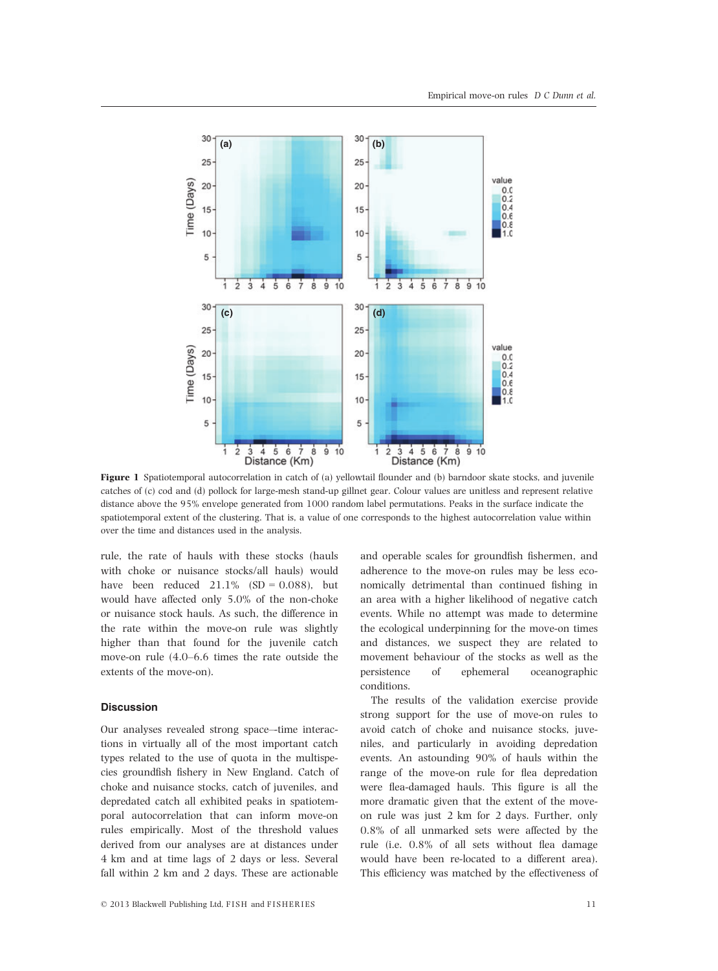

Figure 1 Spatiotemporal autocorrelation in catch of (a) yellowtail flounder and (b) barndoor skate stocks, and juvenile catches of (c) cod and (d) pollock for large-mesh stand-up gillnet gear. Colour values are unitless and represent relative distance above the 95% envelope generated from 1000 random label permutations. Peaks in the surface indicate the spatiotemporal extent of the clustering. That is, a value of one corresponds to the highest autocorrelation value within over the time and distances used in the analysis.

rule, the rate of hauls with these stocks (hauls with choke or nuisance stocks/all hauls) would have been reduced  $21.1\%$  (SD = 0.088), but would have affected only 5.0% of the non-choke or nuisance stock hauls. As such, the difference in the rate within the move-on rule was slightly higher than that found for the juvenile catch move-on rule (4.0–6.6 times the rate outside the extents of the move-on).

#### **Discussion**

Our analyses revealed strong space–-time interactions in virtually all of the most important catch types related to the use of quota in the multispecies groundfish fishery in New England. Catch of choke and nuisance stocks, catch of juveniles, and depredated catch all exhibited peaks in spatiotemporal autocorrelation that can inform move-on rules empirically. Most of the threshold values derived from our analyses are at distances under 4 km and at time lags of 2 days or less. Several fall within 2 km and 2 days. These are actionable

and operable scales for groundfish fishermen, and adherence to the move-on rules may be less economically detrimental than continued fishing in an area with a higher likelihood of negative catch events. While no attempt was made to determine the ecological underpinning for the move-on times and distances, we suspect they are related to movement behaviour of the stocks as well as the persistence of ephemeral oceanographic conditions.

The results of the validation exercise provide strong support for the use of move-on rules to avoid catch of choke and nuisance stocks, juveniles, and particularly in avoiding depredation events. An astounding 90% of hauls within the range of the move-on rule for flea depredation were flea-damaged hauls. This figure is all the more dramatic given that the extent of the moveon rule was just 2 km for 2 days. Further, only 0.8% of all unmarked sets were affected by the rule (i.e. 0.8% of all sets without flea damage would have been re-located to a different area). This efficiency was matched by the effectiveness of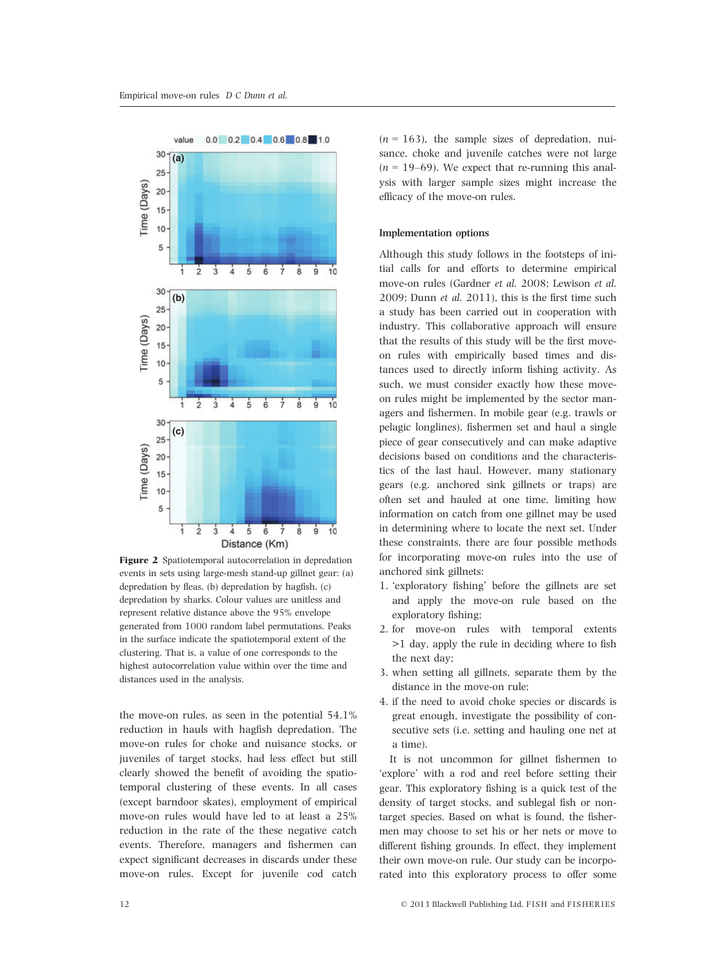

Figure 2 Spatiotemporal autocorrelation in depredation events in sets using large-mesh stand-up gillnet gear: (a) depredation by fleas, (b) depredation by hagfish, (c) depredation by sharks. Colour values are unitless and represent relative distance above the 95% envelope generated from 1000 random label permutations. Peaks in the surface indicate the spatiotemporal extent of the clustering. That is, a value of one corresponds to the highest autocorrelation value within over the time and distances used in the analysis.

the move-on rules, as seen in the potential 54.1% reduction in hauls with hagfish depredation. The move-on rules for choke and nuisance stocks, or juveniles of target stocks, had less effect but still clearly showed the benefit of avoiding the spatiotemporal clustering of these events. In all cases (except barndoor skates), employment of empirical move-on rules would have led to at least a 25% reduction in the rate of the these negative catch events. Therefore, managers and fishermen can expect significant decreases in discards under these move-on rules. Except for juvenile cod catch

 $(n = 163)$ , the sample sizes of depredation, nuisance, choke and juvenile catches were not large  $(n = 19-69)$ . We expect that re-running this analysis with larger sample sizes might increase the efficacy of the move-on rules.

#### Implementation options

Although this study follows in the footsteps of initial calls for and efforts to determine empirical move-on rules (Gardner et al. 2008; Lewison et al. 2009; Dunn et al. 2011), this is the first time such a study has been carried out in cooperation with industry. This collaborative approach will ensure that the results of this study will be the first moveon rules with empirically based times and distances used to directly inform fishing activity. As such, we must consider exactly how these moveon rules might be implemented by the sector managers and fishermen. In mobile gear (e.g. trawls or pelagic longlines), fishermen set and haul a single piece of gear consecutively and can make adaptive decisions based on conditions and the characteristics of the last haul. However, many stationary gears (e.g. anchored sink gillnets or traps) are often set and hauled at one time, limiting how information on catch from one gillnet may be used in determining where to locate the next set. Under these constraints, there are four possible methods for incorporating move-on rules into the use of anchored sink gillnets:

- 1. 'exploratory fishing' before the gillnets are set and apply the move-on rule based on the exploratory fishing;
- 2. for move-on rules with temporal extents >1 day, apply the rule in deciding where to fish the next day;
- 3. when setting all gillnets, separate them by the distance in the move-on rule;
- 4. if the need to avoid choke species or discards is great enough, investigate the possibility of consecutive sets (i.e. setting and hauling one net at a time).

It is not uncommon for gillnet fishermen to 'explore' with a rod and reel before setting their gear. This exploratory fishing is a quick test of the density of target stocks, and sublegal fish or nontarget species. Based on what is found, the fishermen may choose to set his or her nets or move to different fishing grounds. In effect, they implement their own move-on rule. Our study can be incorporated into this exploratory process to offer some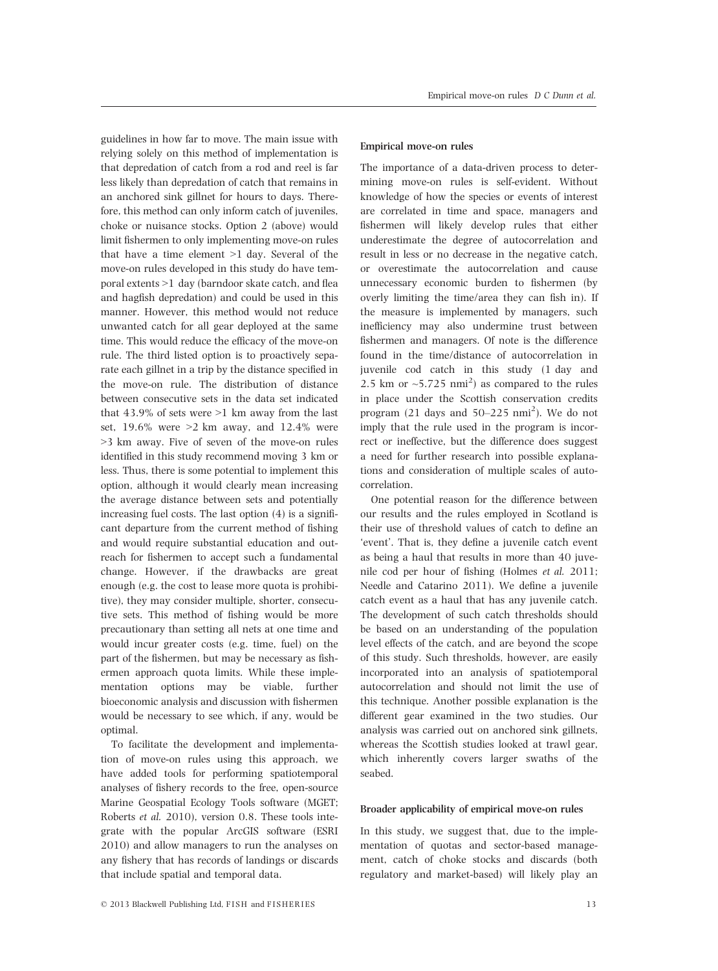guidelines in how far to move. The main issue with relying solely on this method of implementation is that depredation of catch from a rod and reel is far less likely than depredation of catch that remains in an anchored sink gillnet for hours to days. Therefore, this method can only inform catch of juveniles, choke or nuisance stocks. Option 2 (above) would limit fishermen to only implementing move-on rules that have a time element >1 day. Several of the move-on rules developed in this study do have temporal extents >1 day (barndoor skate catch, and flea and hagfish depredation) and could be used in this manner. However, this method would not reduce unwanted catch for all gear deployed at the same time. This would reduce the efficacy of the move-on rule. The third listed option is to proactively separate each gillnet in a trip by the distance specified in the move-on rule. The distribution of distance between consecutive sets in the data set indicated that  $43.9\%$  of sets were  $>1$  km away from the last set,  $19.6\%$  were  $>2$  km away, and  $12.4\%$  were >3 km away. Five of seven of the move-on rules identified in this study recommend moving 3 km or less. Thus, there is some potential to implement this option, although it would clearly mean increasing the average distance between sets and potentially increasing fuel costs. The last option (4) is a significant departure from the current method of fishing and would require substantial education and outreach for fishermen to accept such a fundamental change. However, if the drawbacks are great enough (e.g. the cost to lease more quota is prohibitive), they may consider multiple, shorter, consecutive sets. This method of fishing would be more precautionary than setting all nets at one time and would incur greater costs (e.g. time, fuel) on the part of the fishermen, but may be necessary as fishermen approach quota limits. While these implementation options may be viable, further bioeconomic analysis and discussion with fishermen would be necessary to see which, if any, would be optimal.

To facilitate the development and implementation of move-on rules using this approach, we have added tools for performing spatiotemporal analyses of fishery records to the free, open-source Marine Geospatial Ecology Tools software (MGET; Roberts et al. 2010), version 0.8. These tools integrate with the popular ArcGIS software (ESRI 2010) and allow managers to run the analyses on any fishery that has records of landings or discards that include spatial and temporal data.

#### Empirical move-on rules

The importance of a data-driven process to determining move-on rules is self-evident. Without knowledge of how the species or events of interest are correlated in time and space, managers and fishermen will likely develop rules that either underestimate the degree of autocorrelation and result in less or no decrease in the negative catch, or overestimate the autocorrelation and cause unnecessary economic burden to fishermen (by overly limiting the time/area they can fish in). If the measure is implemented by managers, such inefficiency may also undermine trust between fishermen and managers. Of note is the difference found in the time/distance of autocorrelation in juvenile cod catch in this study (1 day and 2.5 km or  $\sim$  5.725 nmi<sup>2</sup>) as compared to the rules in place under the Scottish conservation credits program  $(21$  days and  $50-225$  nmi<sup>2</sup>). We do not imply that the rule used in the program is incorrect or ineffective, but the difference does suggest a need for further research into possible explanations and consideration of multiple scales of autocorrelation.

One potential reason for the difference between our results and the rules employed in Scotland is their use of threshold values of catch to define an 'event'. That is, they define a juvenile catch event as being a haul that results in more than 40 juvenile cod per hour of fishing (Holmes et al. 2011; Needle and Catarino 2011). We define a juvenile catch event as a haul that has any juvenile catch. The development of such catch thresholds should be based on an understanding of the population level effects of the catch, and are beyond the scope of this study. Such thresholds, however, are easily incorporated into an analysis of spatiotemporal autocorrelation and should not limit the use of this technique. Another possible explanation is the different gear examined in the two studies. Our analysis was carried out on anchored sink gillnets, whereas the Scottish studies looked at trawl gear, which inherently covers larger swaths of the seabed.

#### Broader applicability of empirical move-on rules

In this study, we suggest that, due to the implementation of quotas and sector-based management, catch of choke stocks and discards (both regulatory and market-based) will likely play an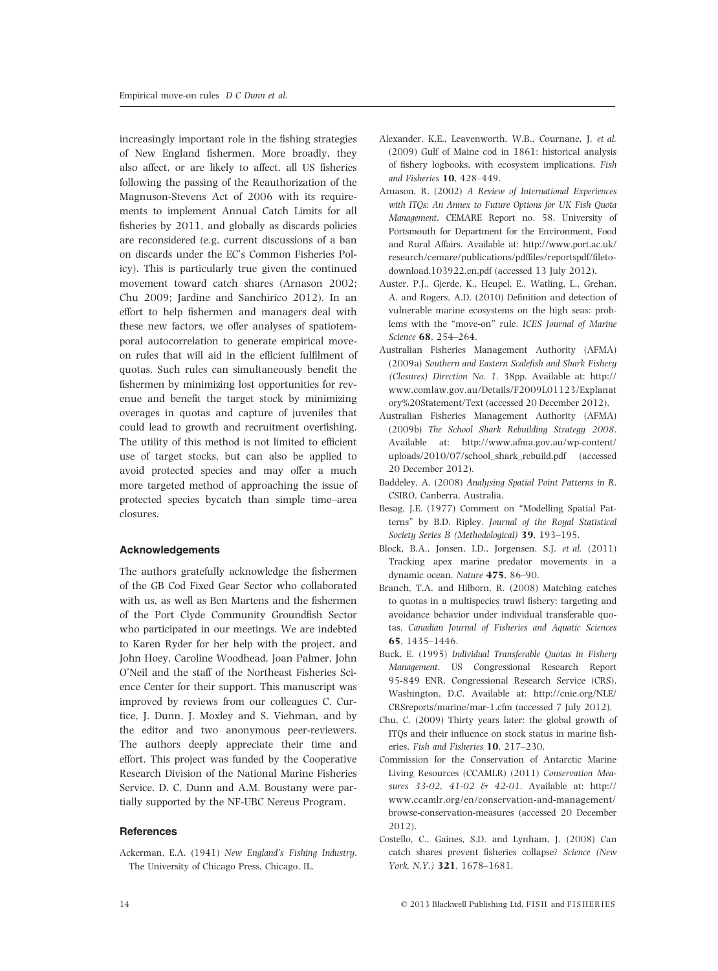increasingly important role in the fishing strategies of New England fishermen. More broadly, they also affect, or are likely to affect, all US fisheries following the passing of the Reauthorization of the Magnuson-Stevens Act of 2006 with its requirements to implement Annual Catch Limits for all fisheries by 2011, and globally as discards policies are reconsidered (e.g. current discussions of a ban on discards under the EC's Common Fisheries Policy). This is particularly true given the continued movement toward catch shares (Arnason 2002; Chu 2009; Jardine and Sanchirico 2012). In an effort to help fishermen and managers deal with these new factors, we offer analyses of spatiotemporal autocorrelation to generate empirical moveon rules that will aid in the efficient fulfilment of quotas. Such rules can simultaneously benefit the fishermen by minimizing lost opportunities for revenue and benefit the target stock by minimizing overages in quotas and capture of juveniles that could lead to growth and recruitment overfishing. The utility of this method is not limited to efficient use of target stocks, but can also be applied to avoid protected species and may offer a much more targeted method of approaching the issue of protected species bycatch than simple time–area closures.

#### Acknowledgements

The authors gratefully acknowledge the fishermen of the GB Cod Fixed Gear Sector who collaborated with us, as well as Ben Martens and the fishermen of the Port Clyde Community Groundfish Sector who participated in our meetings. We are indebted to Karen Ryder for her help with the project, and John Hoey, Caroline Woodhead, Joan Palmer, John O'Neil and the staff of the Northeast Fisheries Science Center for their support. This manuscript was improved by reviews from our colleagues C. Curtice, J. Dunn, J. Moxley and S. Viehman, and by the editor and two anonymous peer-reviewers. The authors deeply appreciate their time and effort. This project was funded by the Cooperative Research Division of the National Marine Fisheries Service. D. C. Dunn and A.M. Boustany were partially supported by the NF-UBC Nereus Program.

#### **References**

Ackerman, E.A. (1941) New England's Fishing Industry. The University of Chicago Press, Chicago, IL.

- Alexander, K.E., Leavenworth, W.B., Cournane, J. et al. (2009) Gulf of Maine cod in 1861: historical analysis of fishery logbooks, with ecosystem implications. Fish and Fisheries 10, 428–449.
- Arnason, R. (2002) A Review of International Experiences with ITOs: An Annex to Future Options for UK Fish Quota Management. CEMARE Report no. 58. University of Portsmouth for Department for the Environment, Food and Rural Affairs. Available at: http://www.port.ac.uk/ research/cemare/publications/pdffiles/reportspdf/filetodownload,103922,en.pdf (accessed 13 July 2012).
- Auster, P.J., Gjerde, K., Heupel, E., Watling, L., Grehan, A. and Rogers, A.D. (2010) Definition and detection of vulnerable marine ecosystems on the high seas: problems with the "move-on" rule. ICES Journal of Marine Science 68, 254–264.
- Australian Fisheries Management Authority (AFMA) (2009a) Southern and Eastern Scalefish and Shark Fishery (Closures) Direction No. 1. 38pp. Available at: http:// www.comlaw.gov.au/Details/F2009L01123/Explanat ory%20Statement/Text (accessed 20 December 2012).
- Australian Fisheries Management Authority (AFMA) (2009b) The School Shark Rebuilding Strategy 2008. Available at: http://www.afma.gov.au/wp-content/ uploads/2010/07/school\_shark\_rebuild.pdf (accessed 20 December 2012).
- Baddeley, A. (2008) Analysing Spatial Point Patterns in R. CSIRO, Canberra, Australia.
- Besag, J.E. (1977) Comment on "Modelling Spatial Patterns" by B.D. Ripley. Journal of the Royal Statistical Society Series B (Methodological) 39, 193–195.
- Block, B.A., Jonsen, I.D., Jorgensen, S.J. et al. (2011) Tracking apex marine predator movements in a dynamic ocean. Nature 475, 86–90.
- Branch, T.A. and Hilborn, R. (2008) Matching catches to quotas in a multispecies trawl fishery: targeting and avoidance behavior under individual transferable quotas. Canadian Journal of Fisheries and Aquatic Sciences 65, 1435–1446.
- Buck, E. (1995) Individual Transferable Quotas in Fishery Management. US Congressional Research Report 95-849 ENR. Congressional Research Service (CRS). Washington, D.C. Available at: http://cnie.org/NLE/ CRSreports/marine/mar-1.cfm (accessed 7 July 2012).
- Chu, C. (2009) Thirty years later: the global growth of ITQs and their influence on stock status in marine fisheries. Fish and Fisheries 10, 217–230.
- Commission for the Conservation of Antarctic Marine Living Resources (CCAMLR) (2011) Conservation Measures 33-02, 41-02 & 42-01. Available at: http:// www.ccamlr.org/en/conservation-and-management/ browse-conservation-measures (accessed 20 December 2012).
- Costello, C., Gaines, S.D. and Lynham, J. (2008) Can catch shares prevent fisheries collapse? Science (New York, N.Y.) 321, 1678–1681.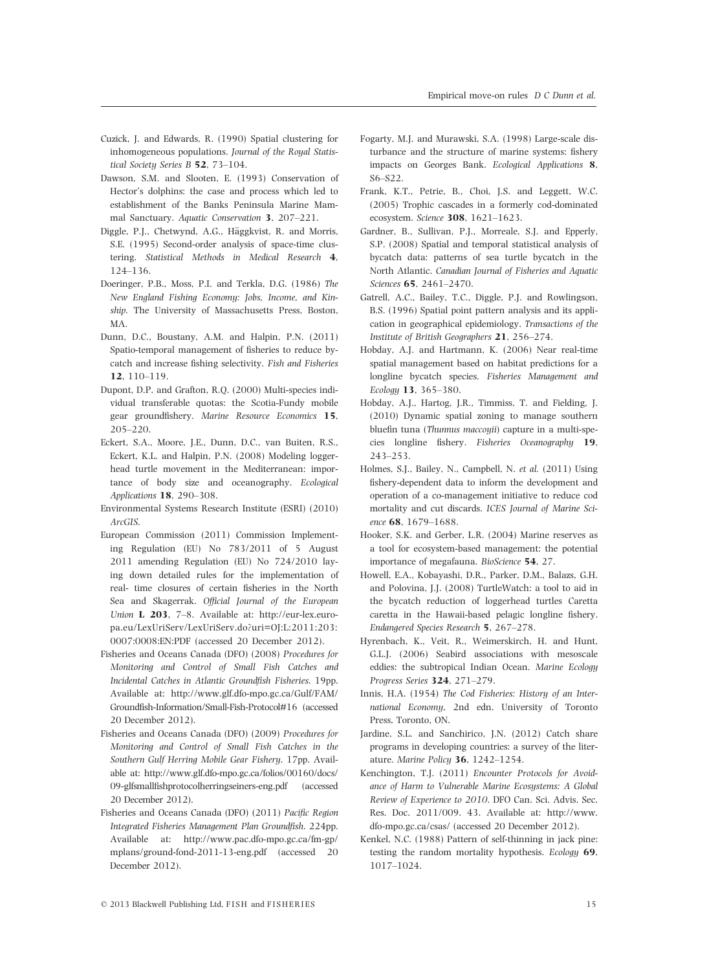- Cuzick, J. and Edwards, R. (1990) Spatial clustering for inhomogeneous populations. Journal of the Royal Statistical Society Series B 52, 73–104.
- Dawson, S.M. and Slooten, E. (1993) Conservation of Hector's dolphins: the case and process which led to establishment of the Banks Peninsula Marine Mammal Sanctuary. Aquatic Conservation 3, 207–221.
- Diggle, P.J., Chetwynd, A.G., Häggkvist, R. and Morris, S.E. (1995) Second-order analysis of space-time clustering. Statistical Methods in Medical Research 4, 124–136.
- Doeringer, P.B., Moss, P.I. and Terkla, D.G. (1986) The New England Fishing Economy: Jobs, Income, and Kinship. The University of Massachusetts Press, Boston, MA.
- Dunn, D.C., Boustany, A.M. and Halpin, P.N. (2011) Spatio-temporal management of fisheries to reduce bycatch and increase fishing selectivity. Fish and Fisheries 12, 110–119.
- Dupont, D.P. and Grafton, R.Q. (2000) Multi-species individual transferable quotas: the Scotia-Fundy mobile gear groundfishery. Marine Resource Economics 15, 205–220.
- Eckert, S.A., Moore, J.E., Dunn, D.C., van Buiten, R.S., Eckert, K.L. and Halpin, P.N. (2008) Modeling loggerhead turtle movement in the Mediterranean: importance of body size and oceanography. Ecological Applications 18, 290–308.
- Environmental Systems Research Institute (ESRI) (2010) ArcGIS.
- European Commission (2011) Commission Implementing Regulation (EU) No 783/2011 of 5 August 2011 amending Regulation (EU) No 724/2010 laying down detailed rules for the implementation of real- time closures of certain fisheries in the North Sea and Skagerrak. Official Journal of the European Union L 203, 7–8. Available at: http://eur-lex.europa.eu/LexUriServ/LexUriServ.do?uri=OJ:L:2011:203: 0007:0008:EN:PDF (accessed 20 December 2012).
- Fisheries and Oceans Canada (DFO) (2008) Procedures for Monitoring and Control of Small Fish Catches and Incidental Catches in Atlantic Groundfish Fisheries. 19pp. Available at: http://www.glf.dfo-mpo.gc.ca/Gulf/FAM/ Groundfish-Information/Small-Fish-Protocol#16 (accessed 20 December 2012).
- Fisheries and Oceans Canada (DFO) (2009) Procedures for Monitoring and Control of Small Fish Catches in the Southern Gulf Herring Mobile Gear Fishery. 17pp. Available at: http://www.glf.dfo-mpo.gc.ca/folios/00160/docs/ 09-glfsmallfishprotocolherringseiners-eng.pdf (accessed 20 December 2012).
- Fisheries and Oceans Canada (DFO) (2011) Pacific Region Integrated Fisheries Management Plan Groundfish. 224pp. Available at: http://www.pac.dfo-mpo.gc.ca/fm-gp/ mplans/ground-fond-2011-13-eng.pdf (accessed 20 December 2012).
- Fogarty, M.J. and Murawski, S.A. (1998) Large-scale disturbance and the structure of marine systems: fishery impacts on Georges Bank. Ecological Applications 8, S6–S22.
- Frank, K.T., Petrie, B., Choi, J.S. and Leggett, W.C. (2005) Trophic cascades in a formerly cod-dominated ecosystem. Science 308, 1621–1623.
- Gardner, B., Sullivan, P.J., Morreale, S.J. and Epperly, S.P. (2008) Spatial and temporal statistical analysis of bycatch data: patterns of sea turtle bycatch in the North Atlantic. Canadian Journal of Fisheries and Aquatic Sciences 65, 2461–2470.
- Gatrell, A.C., Bailey, T.C., Diggle, P.J. and Rowlingson, B.S. (1996) Spatial point pattern analysis and its application in geographical epidemiology. Transactions of the Institute of British Geographers 21, 256–274.
- Hobday, A.J. and Hartmann, K. (2006) Near real-time spatial management based on habitat predictions for a longline bycatch species. Fisheries Management and Ecology 13, 365–380.
- Hobday, A.J., Hartog, J.R., Timmiss, T. and Fielding, J. (2010) Dynamic spatial zoning to manage southern bluefin tuna (Thunnus maccoyii) capture in a multi-species longline fishery. Fisheries Oceanography 19, 243–253.
- Holmes, S.J., Bailey, N., Campbell, N. et al. (2011) Using fishery-dependent data to inform the development and operation of a co-management initiative to reduce cod mortality and cut discards. ICES Journal of Marine Science 68, 1679–1688.
- Hooker, S.K. and Gerber, L.R. (2004) Marine reserves as a tool for ecosystem-based management: the potential importance of megafauna. BioScience 54, 27.
- Howell, E.A., Kobayashi, D.R., Parker, D.M., Balazs, G.H. and Polovina, J.J. (2008) TurtleWatch: a tool to aid in the bycatch reduction of loggerhead turtles Caretta caretta in the Hawaii-based pelagic longline fishery. Endangered Species Research 5, 267–278.
- Hyrenbach, K., Veit, R., Weimerskirch, H. and Hunt, G.L.J. (2006) Seabird associations with mesoscale eddies: the subtropical Indian Ocean. Marine Ecology Progress Series 324, 271–279.
- Innis, H.A. (1954) The Cod Fisheries: History of an International Economy, 2nd edn. University of Toronto Press, Toronto, ON.
- Jardine, S.L. and Sanchirico, J.N. (2012) Catch share programs in developing countries: a survey of the literature. Marine Policy 36, 1242–1254.
- Kenchington, T.J. (2011) Encounter Protocols for Avoidance of Harm to Vulnerable Marine Ecosystems: A Global Review of Experience to 2010. DFO Can. Sci. Advis. Sec. Res. Doc. 2011/009. 43. Available at: http://www. dfo-mpo.gc.ca/csas/ (accessed 20 December 2012).
- Kenkel, N.C. (1988) Pattern of self-thinning in jack pine: testing the random mortality hypothesis. Ecology 69, 1017–1024.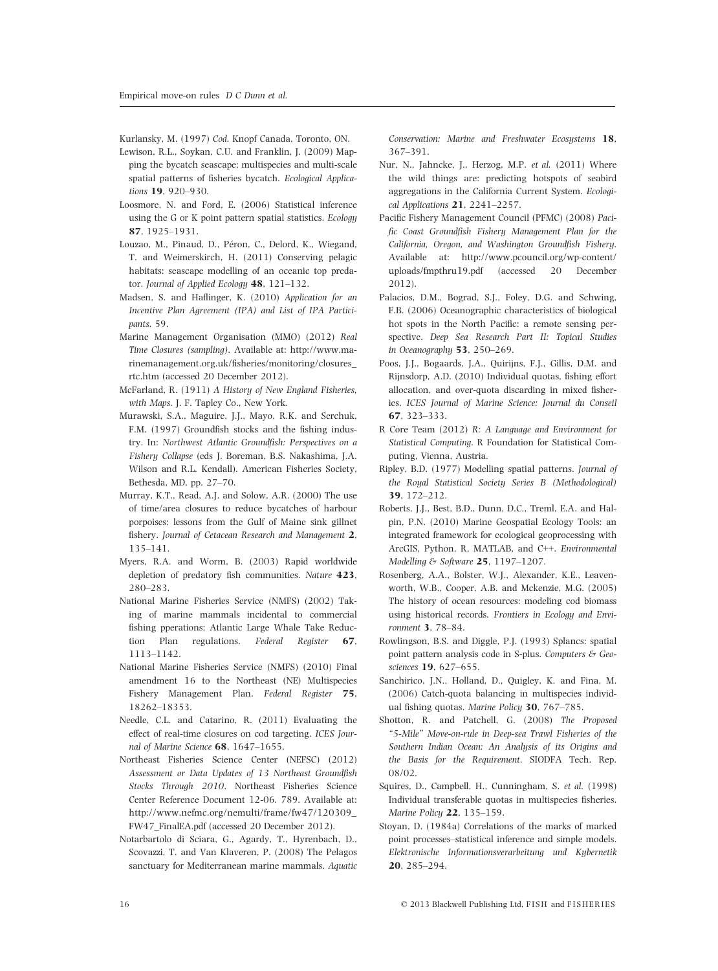- Kurlansky, M. (1997) Cod. Knopf Canada, Toronto, ON. Lewison, R.L., Soykan, C.U. and Franklin, J. (2009) Mapping the bycatch seascape: multispecies and multi-scale spatial patterns of fisheries bycatch. Ecological Applications 19, 920-930.
- Loosmore, N. and Ford, E. (2006) Statistical inference using the G or K point pattern spatial statistics. Ecology 87, 1925–1931.
- Louzao, M., Pinaud, D., Péron, C., Delord, K., Wiegand, T. and Weimerskirch, H. (2011) Conserving pelagic habitats: seascape modelling of an oceanic top predator. Journal of Applied Ecology 48, 121-132.
- Madsen, S. and Haflinger, K. (2010) Application for an Incentive Plan Agreement (IPA) and List of IPA Participants. 59.
- Marine Management Organisation (MMO) (2012) Real Time Closures (sampling). Available at: http://www.marinemanagement.org.uk/fisheries/monitoring/closures\_ rtc.htm (accessed 20 December 2012).
- McFarland, R. (1911) A History of New England Fisheries, with Maps. J. F. Tapley Co., New York.
- Murawski, S.A., Maguire, J.J., Mayo, R.K. and Serchuk, F.M. (1997) Groundfish stocks and the fishing industry. In: Northwest Atlantic Groundfish: Perspectives on a Fishery Collapse (eds J. Boreman, B.S. Nakashima, J.A. Wilson and R.L. Kendall). American Fisheries Society, Bethesda, MD, pp. 27–70.
- Murray, K.T., Read, A.J. and Solow, A.R. (2000) The use of time/area closures to reduce bycatches of harbour porpoises: lessons from the Gulf of Maine sink gillnet fishery. Journal of Cetacean Research and Management 2, 135–141.
- Myers, R.A. and Worm, B. (2003) Rapid worldwide depletion of predatory fish communities. Nature 423, 280–283.
- National Marine Fisheries Service (NMFS) (2002) Taking of marine mammals incidental to commercial fishing pperations; Atlantic Large Whale Take Reduction Plan regulations. Federal Register 67, 1113–1142.
- National Marine Fisheries Service (NMFS) (2010) Final amendment 16 to the Northeast (NE) Multispecies Fishery Management Plan. Federal Register 75, 18262–18353.
- Needle, C.L. and Catarino, R. (2011) Evaluating the effect of real-time closures on cod targeting. ICES Journal of Marine Science 68, 1647-1655.
- Northeast Fisheries Science Center (NEFSC) (2012) Assessment or Data Updates of 13 Northeast Groundfish Stocks Through 2010. Northeast Fisheries Science Center Reference Document 12-06. 789. Available at: http://www.nefmc.org/nemulti/frame/fw47/120309\_ FW47\_FinalEA.pdf (accessed 20 December 2012).
- Notarbartolo di Sciara, G., Agardy, T., Hyrenbach, D., Scovazzi, T. and Van Klaveren, P. (2008) The Pelagos sanctuary for Mediterranean marine mammals. Aquatic

Conservation: Marine and Freshwater Ecosystems 18, 367–391.

- Nur, N., Jahncke, J., Herzog, M.P. et al. (2011) Where the wild things are: predicting hotspots of seabird aggregations in the California Current System. Ecological Applications 21, 2241–2257.
- Pacific Fishery Management Council (PFMC) (2008) Pacific Coast Groundfish Fishery Management Plan for the California, Oregon, and Washington Groundfish Fishery. Available at: http://www.pcouncil.org/wp-content/ uploads/fmpthru19.pdf (accessed 20 December 2012).
- Palacios, D.M., Bograd, S.J., Foley, D.G. and Schwing, F.B. (2006) Oceanographic characteristics of biological hot spots in the North Pacific: a remote sensing perspective. Deep Sea Research Part II: Topical Studies in Oceanography 53, 250–269.
- Poos, J.J., Bogaards, J.A., Quirijns, F.J., Gillis, D.M. and Rijnsdorp, A.D. (2010) Individual quotas, fishing effort allocation, and over-quota discarding in mixed fisheries. ICES Journal of Marine Science: Journal du Conseil 67, 323–333.
- R Core Team (2012) R: A Language and Environment for Statistical Computing. R Foundation for Statistical Computing, Vienna, Austria.
- Ripley, B.D. (1977) Modelling spatial patterns. Journal of the Royal Statistical Society Series B (Methodological) 39, 172–212.
- Roberts, J.J., Best, B.D., Dunn, D.C., Treml, E.A. and Halpin, P.N. (2010) Marine Geospatial Ecology Tools: an integrated framework for ecological geoprocessing with ArcGIS, Python, R, MATLAB, and C++. Environmental Modelling & Software 25, 1197–1207.
- Rosenberg, A.A., Bolster, W.J., Alexander, K.E., Leavenworth, W.B., Cooper, A.B. and Mckenzie, M.G. (2005) The history of ocean resources: modeling cod biomass using historical records. Frontiers in Ecology and Environment 3, 78–84.
- Rowlingson, B.S. and Diggle, P.J. (1993) Splancs: spatial point pattern analysis code in S-plus. Computers & Geosciences 19, 627–655.
- Sanchirico, J.N., Holland, D., Quigley, K. and Fina, M. (2006) Catch-quota balancing in multispecies individual fishing quotas. Marine Policy 30, 767–785.
- Shotton, R. and Patchell, G. (2008) The Proposed "5-Mile" Move-on-rule in Deep-sea Trawl Fisheries of the Southern Indian Ocean: An Analysis of its Origins and the Basis for the Requirement. SIODFA Tech. Rep. 08/02.
- Squires, D., Campbell, H., Cunningham, S. et al. (1998) Individual transferable quotas in multispecies fisheries. Marine Policy 22, 135–159.
- Stoyan, D. (1984a) Correlations of the marks of marked point processes–statistical inference and simple models. Elektronische Informationsverarbeitung und Kybernetik 20, 285–294.